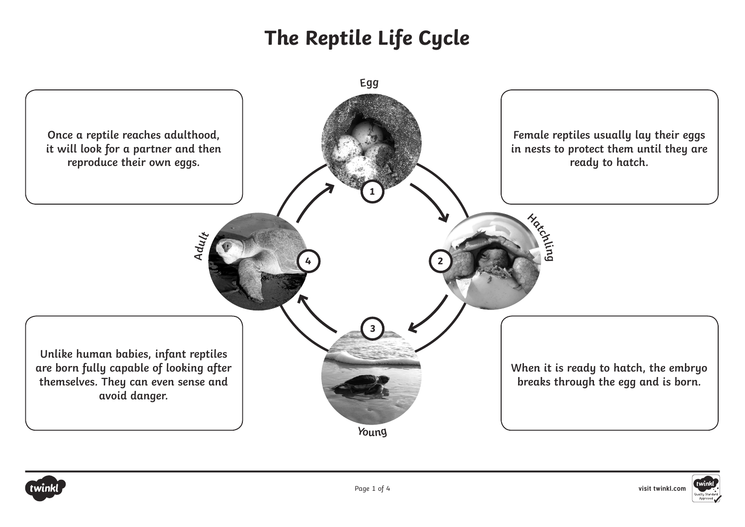



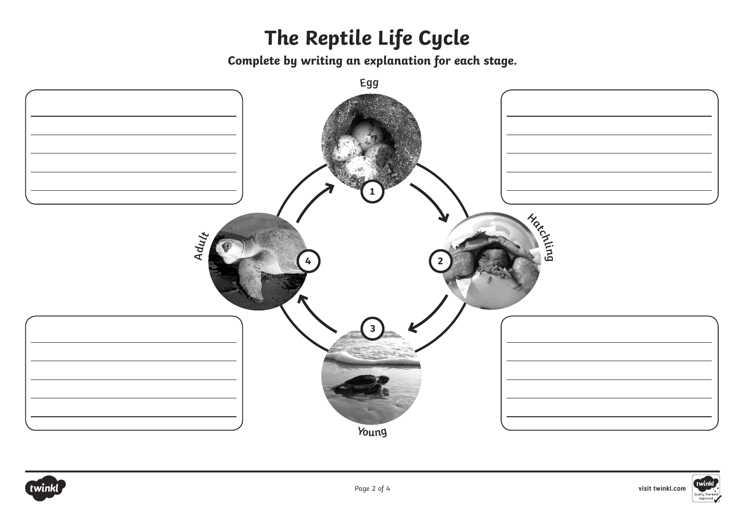**Complete by writing an explanation for each stage.**





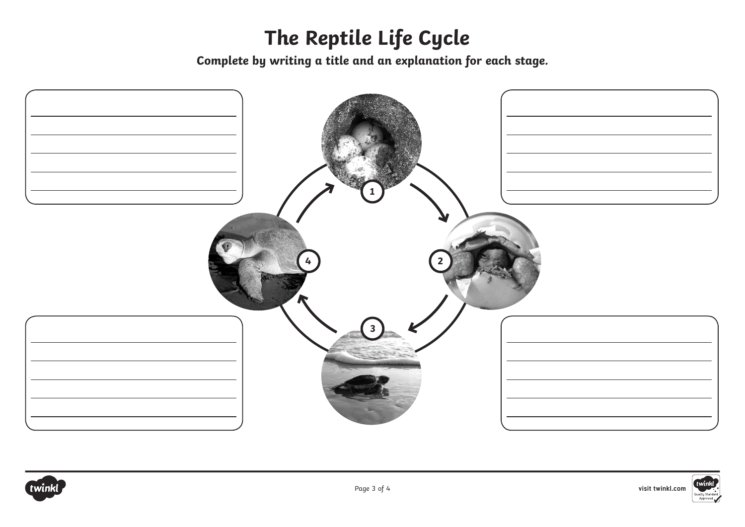**Complete by writing a title and an explanation for each stage.**